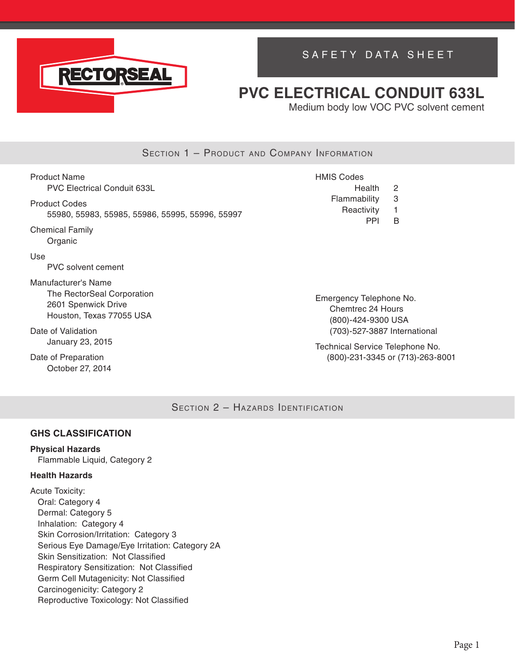

# SAFETY DATA SHEET

# **PVC ELECTRICAL CONDUIT 633L**

Medium body low VOC PVC solvent cement

### SECTION 1 - PRODUCT AND COMPANY INFORMATION

Product Name PVC Electrical Conduit 633L Product Codes 55980, 55983, 55985, 55986, 55995, 55996, 55997 Chemical Family Organic Use PVC solvent cement Manufacturer's Name The RectorSeal Corporation 2601 Spenwick Drive Houston, Texas 77055 USA HMIS Codes Health 2 Flammability 3 Reactivity 1 PPI B

Date of Validation January 23, 2015

Date of Preparation October 27, 2014 Emergency Telephone No. Chemtrec 24 Hours (800)-424-9300 USA (703)-527-3887 International

Technical Service Telephone No. (800)-231-3345 or (713)-263-8001

SECTION 2 - HAZARDS IDENTIFICATION

#### **GHS CLASSIFICATION**

### **Physical Hazards**

Flammable Liquid, Category 2

#### **Health Hazards**

Acute Toxicity: Oral: Category 4 Dermal: Category 5 Inhalation: Category 4 Skin Corrosion/Irritation: Category 3 Serious Eye Damage/Eye Irritation: Category 2A Skin Sensitization: Not Classified Respiratory Sensitization: Not Classified Germ Cell Mutagenicity: Not Classified Carcinogenicity: Category 2 Reproductive Toxicology: Not Classified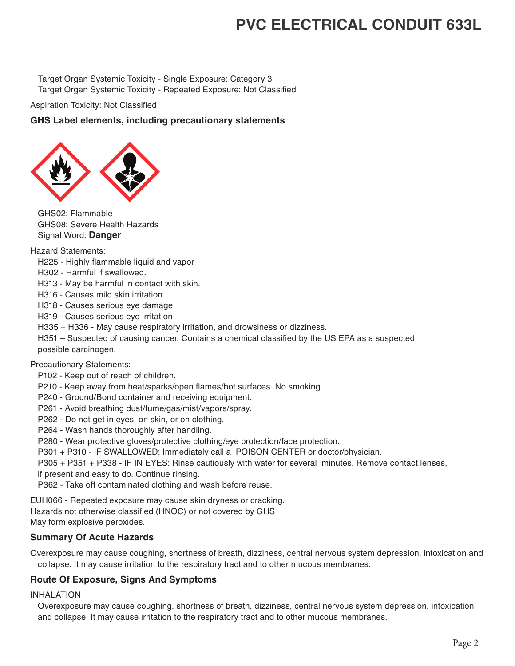Target Organ Systemic Toxicity - Single Exposure: Category 3 Target Organ Systemic Toxicity - Repeated Exposure: Not Classified

Aspiration Toxicity: Not Classified

#### **GHS Label elements, including precautionary statements**



GHS02: Flammable GHS08: Severe Health Hazards Signal Word: **Danger**

Hazard Statements:

- H225 Highly flammable liquid and vapor
- H302 Harmful if swallowed.

H313 - May be harmful in contact with skin.

H316 - Causes mild skin irritation.

H318 - Causes serious eye damage.

H319 - Causes serious eye irritation

H335 + H336 - May cause respiratory irritation, and drowsiness or dizziness.

H351 – Suspected of causing cancer. Contains a chemical classified by the US EPA as a suspected possible carcinogen.

Precautionary Statements:

P102 - Keep out of reach of children.

- P210 Keep away from heat/sparks/open flames/hot surfaces. No smoking.
- P240 Ground/Bond container and receiving equipment.
- P261 Avoid breathing dust/fume/gas/mist/vapors/spray.
- P262 Do not get in eyes, on skin, or on clothing.
- P264 Wash hands thoroughly after handling.
- P280 Wear protective gloves/protective clothing/eye protection/face protection.

P301 + P310 - IF SWALLOWED: Immediately call a POISON CENTER or doctor/physician.

P305 + P351 + P338 - IF IN EYES: Rinse cautiously with water for several minutes. Remove contact lenses,

if present and easy to do. Continue rinsing.

P362 - Take off contaminated clothing and wash before reuse.

EUH066 - Repeated exposure may cause skin dryness or cracking.

Hazards not otherwise classified (HNOC) or not covered by GHS

May form explosive peroxides.

#### **Summary Of Acute Hazards**

Overexposure may cause coughing, shortness of breath, dizziness, central nervous system depression, intoxication and collapse. It may cause irritation to the respiratory tract and to other mucous membranes.

#### **Route Of Exposure, Signs And Symptoms**

INHALATION

Overexposure may cause coughing, shortness of breath, dizziness, central nervous system depression, intoxication and collapse. It may cause irritation to the respiratory tract and to other mucous membranes.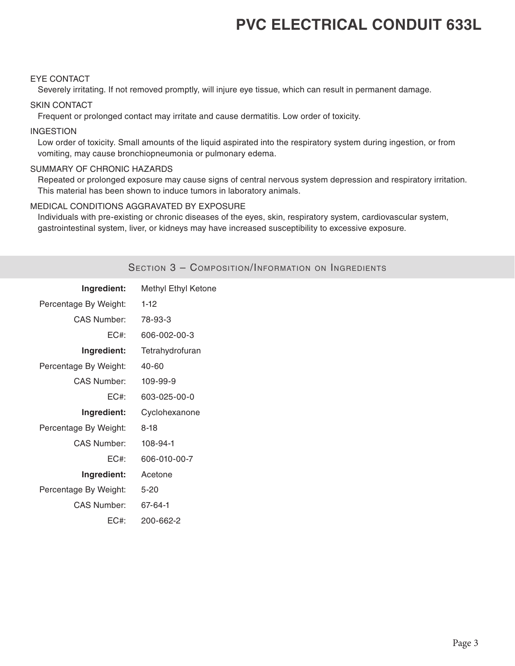#### EYE CONTACT

Severely irritating. If not removed promptly, will injure eye tissue, which can result in permanent damage.

#### SKIN CONTACT

Frequent or prolonged contact may irritate and cause dermatitis. Low order of toxicity.

#### INGESTION

Low order of toxicity. Small amounts of the liquid aspirated into the respiratory system during ingestion, or from vomiting, may cause bronchiopneumonia or pulmonary edema.

#### SUMMARY OF CHRONIC HAZARDS

Repeated or prolonged exposure may cause signs of central nervous system depression and respiratory irritation. This material has been shown to induce tumors in laboratory animals.

#### MEDICAL CONDITIONS AGGRAVATED BY EXPOSURE

Individuals with pre-existing or chronic diseases of the eyes, skin, respiratory system, cardiovascular system, gastrointestinal system, liver, or kidneys may have increased susceptibility to excessive exposure.

|                       | SECTION 3 - COMPOSITION/INFORMATION ON INGREDIENTS |
|-----------------------|----------------------------------------------------|
| Ingredient:           | Methyl Ethyl Ketone                                |
| Percentage By Weight: | $1-12$                                             |
| <b>CAS Number:</b>    | 78-93-3                                            |
| $EC#$ :               | 606-002-00-3                                       |
| Ingredient:           | Tetrahydrofuran                                    |
| Percentage By Weight: | 40-60                                              |
| <b>CAS Number:</b>    | 109-99-9                                           |
| $EC#$ :               | 603-025-00-0                                       |
| Ingredient:           | Cyclohexanone                                      |
| Percentage By Weight: | $8 - 18$                                           |
| <b>CAS Number:</b>    | 108-94-1                                           |
| $EC#$ :               | 606-010-00-7                                       |
| Ingredient:           | Acetone                                            |
| Percentage By Weight: | $5 - 20$                                           |
| <b>CAS Number:</b>    | 67-64-1                                            |
| $EC#$ :               | 200-662-2                                          |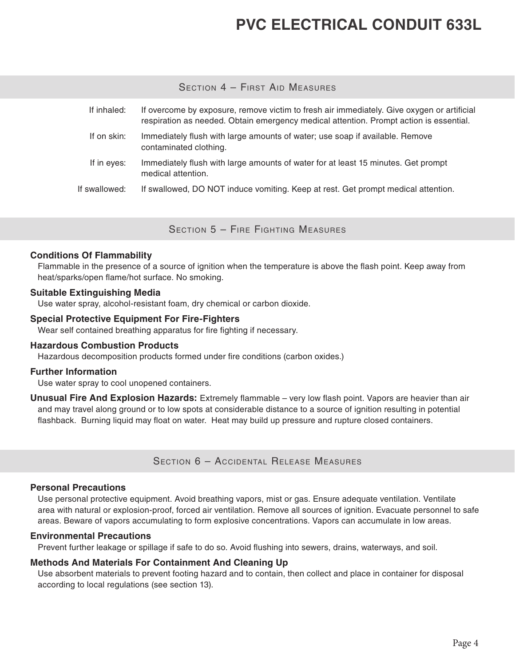### SECTION 4 - FIRST AID MEASURES

| If inhaled:   | If overcome by exposure, remove victim to fresh air immediately. Give oxygen or artificial<br>respiration as needed. Obtain emergency medical attention. Prompt action is essential. |
|---------------|--------------------------------------------------------------------------------------------------------------------------------------------------------------------------------------|
| If on skin:   | Immediately flush with large amounts of water; use soap if available. Remove<br>contaminated clothing.                                                                               |
| If in eyes:   | Immediately flush with large amounts of water for at least 15 minutes. Get prompt<br>medical attention.                                                                              |
| If swallowed: | If swallowed, DO NOT induce vomiting. Keep at rest. Get prompt medical attention.                                                                                                    |

Section 5 – Fire Fighting Measures

#### **Conditions Of Flammability**

Flammable in the presence of a source of ignition when the temperature is above the flash point. Keep away from heat/sparks/open flame/hot surface. No smoking.

#### **Suitable Extinguishing Media**

Use water spray, alcohol-resistant foam, dry chemical or carbon dioxide.

#### **Special Protective Equipment For Fire-Fighters**

Wear self contained breathing apparatus for fire fighting if necessary.

#### **Hazardous Combustion Products**

Hazardous decomposition products formed under fire conditions (carbon oxides.)

#### **Further Information**

Use water spray to cool unopened containers.

**Unusual Fire And Explosion Hazards:** Extremely flammable – very low flash point. Vapors are heavier than air and may travel along ground or to low spots at considerable distance to a source of ignition resulting in potential flashback. Burning liquid may float on water. Heat may build up pressure and rupture closed containers.

Section 6 – Accidental Release Measures

#### **Personal Precautions**

Use personal protective equipment. Avoid breathing vapors, mist or gas. Ensure adequate ventilation. Ventilate area with natural or explosion-proof, forced air ventilation. Remove all sources of ignition. Evacuate personnel to safe areas. Beware of vapors accumulating to form explosive concentrations. Vapors can accumulate in low areas.

#### **Environmental Precautions**

Prevent further leakage or spillage if safe to do so. Avoid flushing into sewers, drains, waterways, and soil.

#### **Methods And Materials For Containment And Cleaning Up**

Use absorbent materials to prevent footing hazard and to contain, then collect and place in container for disposal according to local regulations (see section 13).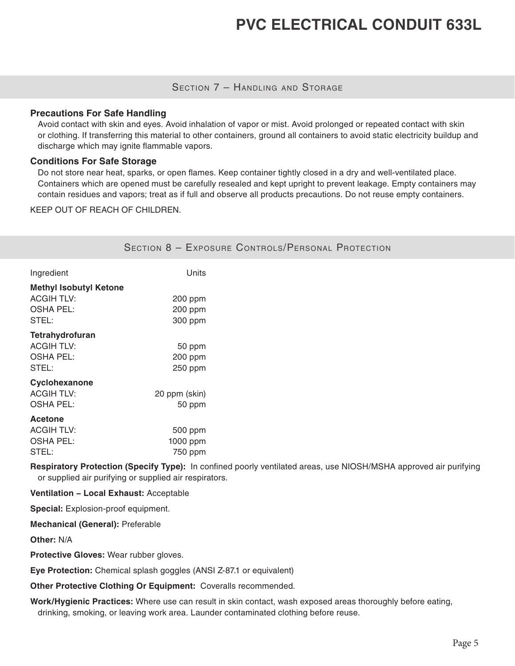### SECTION 7 - HANDLING AND STORAGE

#### **Precautions For Safe Handling**

Avoid contact with skin and eyes. Avoid inhalation of vapor or mist. Avoid prolonged or repeated contact with skin or clothing. If transferring this material to other containers, ground all containers to avoid static electricity buildup and discharge which may ignite flammable vapors.

#### **Conditions For Safe Storage**

Do not store near heat, sparks, or open flames. Keep container tightly closed in a dry and well-ventilated place. Containers which are opened must be carefully resealed and kept upright to prevent leakage. Empty containers may contain residues and vapors; treat as if full and observe all products precautions. Do not reuse empty containers.

KEEP OUT OF REACH OF CHILDREN.

|                                                                                 |                                | <b>SECTION 8 - EXPOSURE CONTROLS/PERSONAL PROTECTION</b> |
|---------------------------------------------------------------------------------|--------------------------------|----------------------------------------------------------|
| Ingredient                                                                      | Units                          |                                                          |
| <b>Methyl Isobutyl Ketone</b><br><b>ACGIH TLV:</b><br><b>OSHA PEL:</b><br>STEL: | 200 ppm<br>200 ppm<br>300 ppm  |                                                          |
| <b>Tetrahydrofuran</b><br><b>ACGIH TLV:</b><br><b>OSHA PEL:</b><br>STEL:        | 50 ppm<br>200 ppm<br>250 ppm   |                                                          |
| Cyclohexanone<br><b>ACGIH TLV:</b><br><b>OSHA PEL:</b>                          | 20 ppm (skin)<br>50 ppm        |                                                          |
| Acetone<br><b>ACGIH TLV:</b><br><b>OSHA PEL:</b><br>STEL:                       | 500 ppm<br>1000 ppm<br>750 ppm |                                                          |

**Respiratory Protection (Specify Type):** In confined poorly ventilated areas, use NIOSH/MSHA approved air purifying or supplied air purifying or supplied air respirators.

**Ventilation − Local Exhaust:** Acceptable

**Special:** Explosion-proof equipment.

**Mechanical (General):** Preferable

**Other:** N/A

**Protective Gloves:** Wear rubber gloves.

**Eye Protection:** Chemical splash goggles (ANSI Z-87.1 or equivalent)

**Other Protective Clothing Or Equipment:** Coveralls recommended.

**Work/Hygienic Practices:** Where use can result in skin contact, wash exposed areas thoroughly before eating, drinking, smoking, or leaving work area. Launder contaminated clothing before reuse.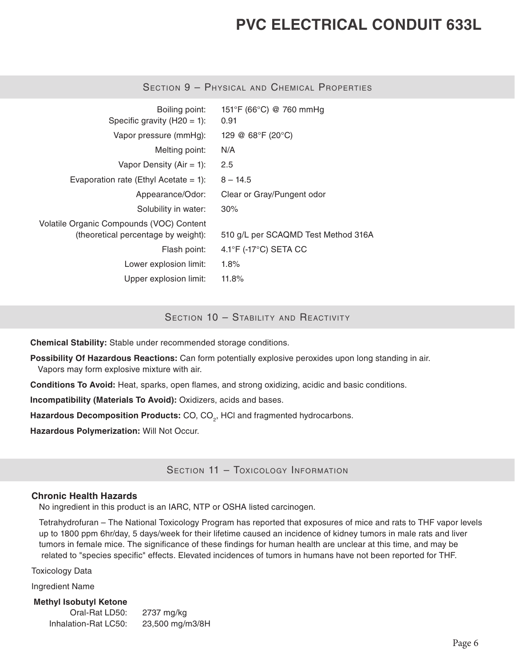| Boiling point:<br>Specific gravity $(H20 = 1)$ :                                | 151°F (66°C) @ 760 mmHg<br>0.91            |
|---------------------------------------------------------------------------------|--------------------------------------------|
| Vapor pressure (mmHg):                                                          | 129 @ 68°F (20°C)                          |
| Melting point:                                                                  | N/A                                        |
| Vapor Density (Air = 1):                                                        | 2.5                                        |
| Evaporation rate (Ethyl Acetate = 1):                                           | $8 - 14.5$                                 |
| Appearance/Odor:                                                                | Clear or Gray/Pungent odor                 |
| Solubility in water:                                                            | $30\%$                                     |
| Volatile Organic Compounds (VOC) Content<br>(theoretical percentage by weight): | 510 g/L per SCAQMD Test Method 316A        |
| Flash point:                                                                    | $4.1^{\circ}$ F (-17 $^{\circ}$ C) SETA CC |
| Lower explosion limit:                                                          | $1.8\%$                                    |
| Upper explosion limit:                                                          | 11.8%                                      |

Section 9 – Physical and Chemical Properties

SECTION 10 - STABILITY AND REACTIVITY

**Chemical Stability:** Stable under recommended storage conditions.

**Possibility Of Hazardous Reactions:** Can form potentially explosive peroxides upon long standing in air. Vapors may form explosive mixture with air.

**Conditions To Avoid:** Heat, sparks, open flames, and strong oxidizing, acidic and basic conditions.

**Incompatibility (Materials To Avoid):** Oxidizers, acids and bases.

Hazardous Decomposition Products: CO, CO<sub>2</sub>, HCI and fragmented hydrocarbons.

**Hazardous Polymerization:** Will Not Occur.

SECTION 11 - TOXICOLOGY INFORMATION

#### **Chronic Health Hazards**

No ingredient in this product is an IARC, NTP or OSHA listed carcinogen.

Tetrahydrofuran – The National Toxicology Program has reported that exposures of mice and rats to THF vapor levels up to 1800 ppm 6hr/day, 5 days/week for their lifetime caused an incidence of kidney tumors in male rats and liver tumors in female mice. The significance of these findings for human health are unclear at this time, and may be related to "species specific" effects. Elevated incidences of tumors in humans have not been reported for THF.

Toxicology Data

Ingredient Name

**Methyl Isobutyl Ketone** Oral-Rat LD50: 2737 mg/kg Inhalation-Rat LC50: 23,500 mg/m3/8H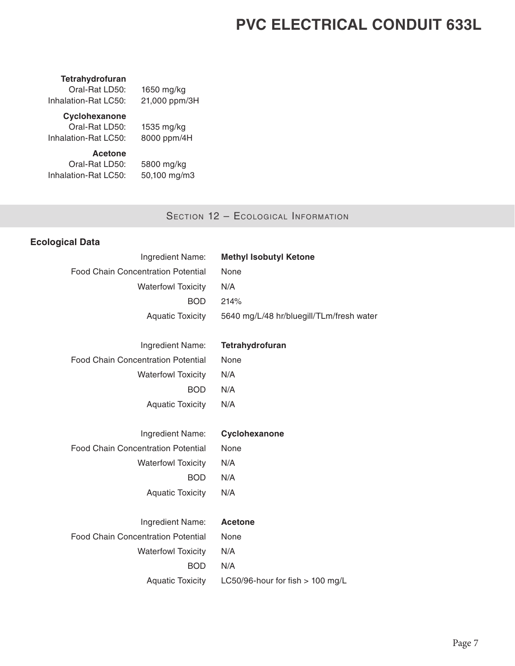#### **Tetrahydrofuran**

Oral-Rat LD50: 1650 mg/kg Inhalation-Rat LC50: 21,000 ppm/3H

## **Cyclohexanone**

Oral-Rat LD50: 1535 mg/kg Inhalation-Rat LC50: 8000 ppm/4H

# **Acetone**

Oral-Rat LD50: 5800 mg/kg Inhalation-Rat LC50: 50,100 mg/m3

### SECTION 12 - ECOLOGICAL INFORMATION

### **Ecological Data**

| Ingredient Name:                          | <b>Methyl Isobutyl Ketone</b>            |
|-------------------------------------------|------------------------------------------|
| <b>Food Chain Concentration Potential</b> | None                                     |
| <b>Waterfowl Toxicity</b>                 | N/A                                      |
| <b>BOD</b>                                | 214%                                     |
| <b>Aquatic Toxicity</b>                   | 5640 mg/L/48 hr/bluegill/TLm/fresh water |
|                                           |                                          |
| Ingredient Name:                          | Tetrahydrofuran                          |
| <b>Food Chain Concentration Potential</b> | None                                     |
| <b>Waterfowl Toxicity</b>                 | N/A                                      |
| <b>BOD</b>                                | N/A                                      |
| <b>Aquatic Toxicity</b>                   | N/A                                      |
|                                           |                                          |
| Ingredient Name:                          | Cyclohexanone                            |
| <b>Food Chain Concentration Potential</b> | None                                     |
| <b>Waterfowl Toxicity</b>                 | N/A                                      |
| <b>BOD</b>                                | N/A                                      |
| <b>Aquatic Toxicity</b>                   | N/A                                      |
|                                           |                                          |
| Ingredient Name:                          | <b>Acetone</b>                           |
| <b>Food Chain Concentration Potential</b> | None                                     |
| <b>Waterfowl Toxicity</b>                 | N/A                                      |
| <b>BOD</b>                                | N/A                                      |
| <b>Aquatic Toxicity</b>                   | LC50/96-hour for fish > 100 mg/L         |
|                                           |                                          |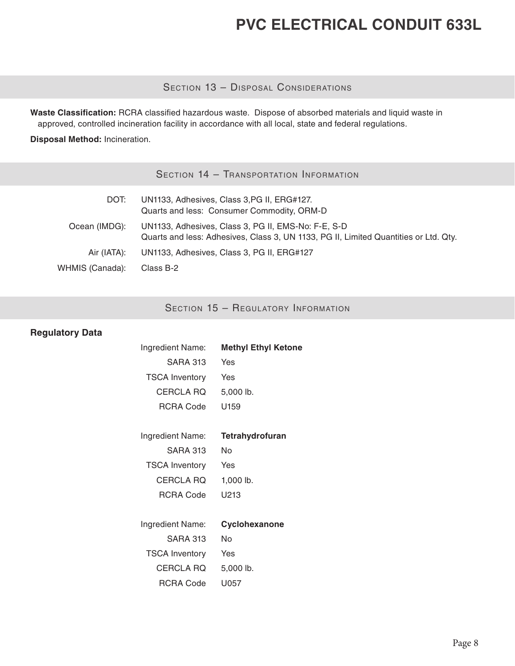SECTION 13 - DISPOSAL CONSIDERATIONS

**Waste Classification:** RCRA classified hazardous waste. Dispose of absorbed materials and liquid waste in approved, controlled incineration facility in accordance with all local, state and federal regulations.

**Disposal Method:** Incineration.

| Section 14 - Transportation Information |  |
|-----------------------------------------|--|
|-----------------------------------------|--|

| DOT:            | UN1133, Adhesives, Class 3, PG II, ERG#127.<br>Quarts and less: Consumer Commodity, ORM-D                                                   |
|-----------------|---------------------------------------------------------------------------------------------------------------------------------------------|
| Ocean (IMDG):   | UN1133, Adhesives, Class 3, PG II, EMS-No: F-E, S-D<br>Quarts and less: Adhesives, Class 3, UN 1133, PG II, Limited Quantities or Ltd. Qty. |
| Air (IATA):     | UN1133, Adhesives, Class 3, PG II, ERG#127                                                                                                  |
| WHMIS (Canada): | Class B-2                                                                                                                                   |

SECTION 15 - REGULATORY INFORMATION

### **Regulatory Data**

| <b>Methyl Ethyl Ketone</b> |
|----------------------------|
| Yes                        |
| Yes                        |
| 5,000 lb.                  |
| U159                       |
|                            |
| Tetrahydrofuran            |
| No                         |
| Yes                        |
| 1,000 lb.                  |
| U213                       |
|                            |
| Cyclohexanone              |
| No                         |
| Yes                        |
| 5,000 lb.                  |
| U057                       |
|                            |